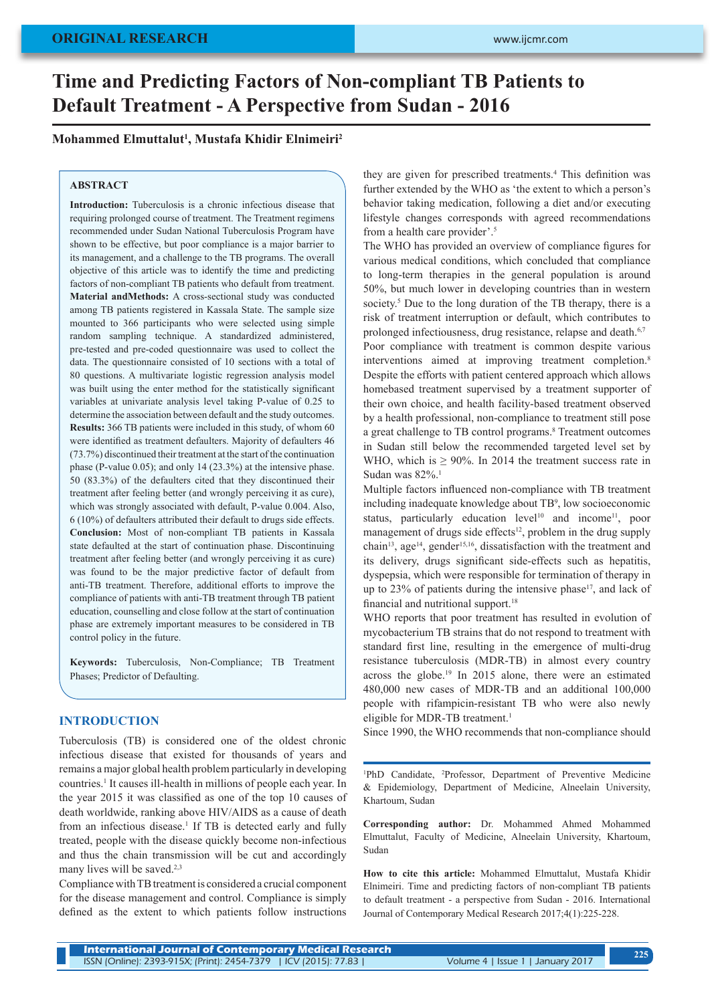# **Time and Predicting Factors of Non-compliant TB Patients to Default Treatment - A Perspective from Sudan - 2016**

## **Mohammed Elmuttalut1 , Mustafa Khidir Elnimeiri2**

## **ABSTRACT**

**Introduction:** Tuberculosis is a chronic infectious disease that requiring prolonged course of treatment. The Treatment regimens recommended under Sudan National Tuberculosis Program have shown to be effective, but poor compliance is a major barrier to its management, and a challenge to the TB programs. The overall objective of this article was to identify the time and predicting factors of non-compliant TB patients who default from treatment. **Material andMethods:** A cross-sectional study was conducted among TB patients registered in Kassala State. The sample size mounted to 366 participants who were selected using simple random sampling technique. A standardized administered, pre-tested and pre-coded questionnaire was used to collect the data. The questionnaire consisted of 10 sections with a total of 80 questions. A multivariate logistic regression analysis model was built using the enter method for the statistically significant variables at univariate analysis level taking P-value of 0.25 to determine the association between default and the study outcomes. **Results:** 366 TB patients were included in this study, of whom 60 were identified as treatment defaulters. Majority of defaulters 46 (73.7%) discontinued their treatment at the start of the continuation phase (P-value 0.05); and only 14 (23.3%) at the intensive phase. 50 (83.3%) of the defaulters cited that they discontinued their treatment after feeling better (and wrongly perceiving it as cure), which was strongly associated with default, P-value 0.004. Also, 6 (10%) of defaulters attributed their default to drugs side effects. **Conclusion:** Most of non-compliant TB patients in Kassala state defaulted at the start of continuation phase. Discontinuing treatment after feeling better (and wrongly perceiving it as cure) was found to be the major predictive factor of default from anti-TB treatment. Therefore, additional efforts to improve the compliance of patients with anti-TB treatment through TB patient education, counselling and close follow at the start of continuation phase are extremely important measures to be considered in TB control policy in the future.

**Keywords:** Tuberculosis, Non-Compliance; TB Treatment Phases; Predictor of Defaulting.

## **INTRODUCTION**

Tuberculosis (TB) is considered one of the oldest chronic infectious disease that existed for thousands of years and remains a major global health problem particularly in developing countries.1 It causes ill-health in millions of people each year. In the year 2015 it was classified as one of the top 10 causes of death worldwide, ranking above HIV/AIDS as a cause of death from an infectious disease.<sup>1</sup> If TB is detected early and fully treated, people with the disease quickly become non-infectious and thus the chain transmission will be cut and accordingly many lives will be saved.<sup>2,3</sup>

Compliance with TB treatment is considered a crucial component for the disease management and control. Compliance is simply defined as the extent to which patients follow instructions

they are given for prescribed treatments.<sup>4</sup> This definition was further extended by the WHO as 'the extent to which a person's behavior taking medication, following a diet and/or executing lifestyle changes corresponds with agreed recommendations from a health care provider'.<sup>5</sup>

The WHO has provided an overview of compliance figures for various medical conditions, which concluded that compliance to long-term therapies in the general population is around 50%, but much lower in developing countries than in western society.<sup>5</sup> Due to the long duration of the TB therapy, there is a risk of treatment interruption or default, which contributes to prolonged infectiousness, drug resistance, relapse and death.<sup>6,7</sup>

Poor compliance with treatment is common despite various interventions aimed at improving treatment completion.<sup>8</sup> Despite the efforts with patient centered approach which allows homebased treatment supervised by a treatment supporter of their own choice, and health facility-based treatment observed by a health professional, non-compliance to treatment still pose a great challenge to TB control programs.<sup>8</sup> Treatment outcomes in Sudan still below the recommended targeted level set by WHO, which is  $\geq 90\%$ . In 2014 the treatment success rate in Sudan was 82%.<sup>1</sup>

Multiple factors influenced non-compliance with TB treatment including inadequate knowledge about TB<sup>9</sup> , low socioeconomic status, particularly education level<sup>10</sup> and income<sup>11</sup>, poor management of drugs side effects<sup>12</sup>, problem in the drug supply chain<sup>13</sup>, age<sup>14</sup>, gender<sup>15,16</sup>, dissatisfaction with the treatment and its delivery, drugs significant side-effects such as hepatitis, dyspepsia, which were responsible for termination of therapy in up to  $23\%$  of patients during the intensive phase<sup>17</sup>, and lack of financial and nutritional support.<sup>18</sup>

WHO reports that poor treatment has resulted in evolution of mycobacterium TB strains that do not respond to treatment with standard first line, resulting in the emergence of multi-drug resistance tuberculosis (MDR-TB) in almost every country across the globe.<sup>19</sup> In 2015 alone, there were an estimated 480,000 new cases of MDR-TB and an additional 100,000 people with rifampicin-resistant TB who were also newly eligible for MDR-TB treatment.<sup>1</sup>

Since 1990, the WHO recommends that non-compliance should

<sup>1</sup>PhD Candidate, <sup>2</sup>Professor, Department of Preventive Medicine & Epidemiology, Department of Medicine, Alneelain University, Khartoum, Sudan

**Corresponding author:** Dr. Mohammed Ahmed Mohammed Elmuttalut, Faculty of Medicine, Alneelain University, Khartoum, Sudan

**How to cite this article:** Mohammed Elmuttalut, Mustafa Khidir Elnimeiri. Time and predicting factors of non-compliant TB patients to default treatment - a perspective from Sudan - 2016. International Journal of Contemporary Medical Research 2017;4(1):225-228.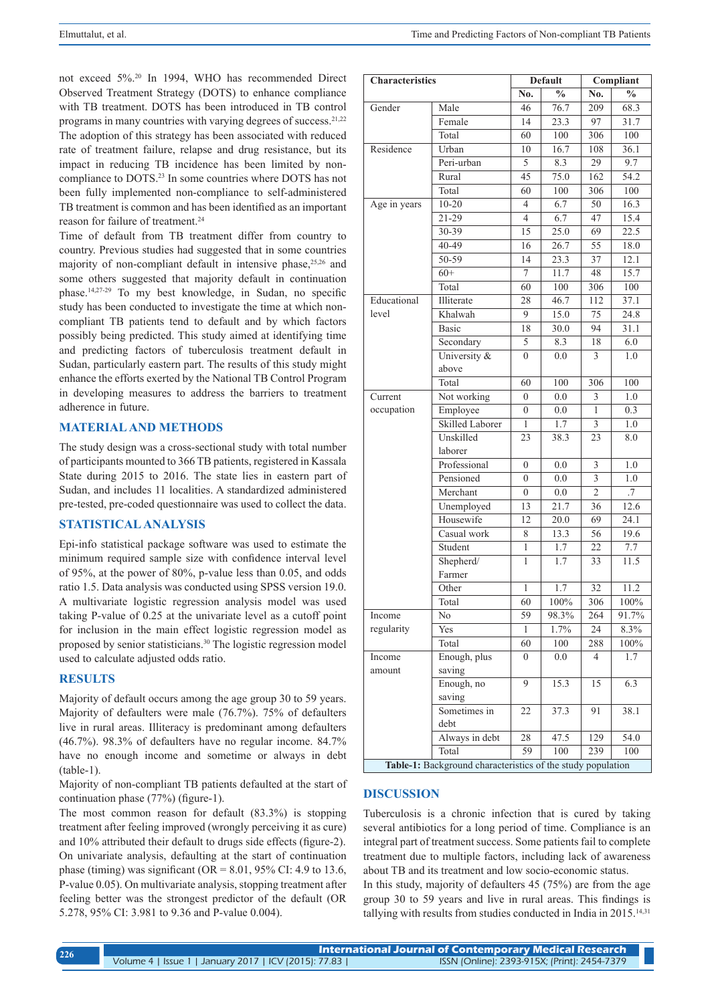not exceed 5%.20 In 1994, WHO has recommended Direct Observed Treatment Strategy (DOTS) to enhance compliance with TB treatment. DOTS has been introduced in TB control programs in many countries with varying degrees of success.21,22 The adoption of this strategy has been associated with reduced rate of treatment failure, relapse and drug resistance, but its impact in reducing TB incidence has been limited by noncompliance to DOTS.23 In some countries where DOTS has not been fully implemented non-compliance to self-administered TB treatment is common and has been identified as an important reason for failure of treatment.<sup>24</sup>

Time of default from TB treatment differ from country to country. Previous studies had suggested that in some countries majority of non-compliant default in intensive phase,<sup>25,26</sup> and some others suggested that majority default in continuation phase.14,27-29 To my best knowledge, in Sudan, no specific study has been conducted to investigate the time at which noncompliant TB patients tend to default and by which factors possibly being predicted. This study aimed at identifying time and predicting factors of tuberculosis treatment default in Sudan, particularly eastern part. The results of this study might enhance the efforts exerted by the National TB Control Program in developing measures to address the barriers to treatment adherence in future.

## **MATERIAL AND METHODS**

The study design was a cross-sectional study with total number of participants mounted to 366 TB patients, registered in Kassala State during 2015 to 2016. The state lies in eastern part of Sudan, and includes 11 localities. A standardized administered pre-tested, pre-coded questionnaire was used to collect the data.

## **STATISTICAL ANALYSIS**

Epi-info statistical package software was used to estimate the minimum required sample size with confidence interval level of 95%, at the power of 80%, p-value less than 0.05, and odds ratio 1.5. Data analysis was conducted using SPSS version 19.0. A multivariate logistic regression analysis model was used taking P-value of 0.25 at the univariate level as a cutoff point for inclusion in the main effect logistic regression model as proposed by senior statisticians.<sup>30</sup> The logistic regression model used to calculate adjusted odds ratio.

## **RESULTS**

Majority of default occurs among the age group 30 to 59 years. Majority of defaulters were male (76.7%). 75% of defaulters live in rural areas. Illiteracy is predominant among defaulters (46.7%). 98.3% of defaulters have no regular income. 84.7% have no enough income and sometime or always in debt  $(table-1)$ .

Majority of non-compliant TB patients defaulted at the start of continuation phase (77%) (figure-1).

The most common reason for default (83.3%) is stopping treatment after feeling improved (wrongly perceiving it as cure) and 10% attributed their default to drugs side effects (figure-2). On univariate analysis, defaulting at the start of continuation phase (timing) was significant ( $OR = 8.01$ , 95% CI: 4.9 to 13.6, P-value 0.05). On multivariate analysis, stopping treatment after feeling better was the strongest predictor of the default (OR 5.278, 95% CI: 3.981 to 9.36 and P-value 0.004).

| <b>Characteristics</b> |                                                             | <b>Default</b>   |                     | Compliant                 |                   |
|------------------------|-------------------------------------------------------------|------------------|---------------------|---------------------------|-------------------|
|                        |                                                             | No.              | $\frac{6}{9}$       | No.                       | $\%$              |
| Gender                 | Male                                                        | 46               | 76.7                | 209                       | 68.3              |
|                        | Female                                                      | 14               | 23.3                | 97                        | 31.7              |
|                        | Total                                                       | 60               | 100                 | 306                       | 100               |
| Residence              | Urban                                                       | 10               | 16.7                | 108                       | 36.1              |
|                        | Peri-urban                                                  | 5                | 8.3                 | 29                        | 9.7               |
|                        | Rural                                                       | 45               | 75.0                | 162                       | 54.2              |
|                        | Total                                                       | $\overline{60}$  | 100                 | 306                       | 100               |
| Age in years           | $10 - 20$                                                   | $\overline{4}$   | 6.7                 | 50                        | 16.3              |
|                        | 21-29                                                       | $\overline{4}$   | 6.7                 | 47                        | 15.4              |
|                        | 30-39                                                       | 15               | 25.0                | 69                        | 22.5              |
|                        | 40-49                                                       | 16               | 26.7                | 55                        | 18.0              |
|                        | 50-59                                                       | 14               | 23.3                | 37                        | 12.1              |
|                        | $60+$                                                       | 7                | 11.7                | 48                        | 15.7              |
|                        | Total                                                       | 60               | 100                 | 306                       | 100               |
| Educational            | Illiterate                                                  | 28               | 46.7                | 112                       | $\overline{37.1}$ |
| level                  | Khalwah                                                     | 9                | 15.0                | 75                        | 24.8              |
|                        | <b>Basic</b>                                                | 18               | 30.0                | 94                        | 31.1              |
|                        | Secondary                                                   | 5                | 8.3                 | 18                        | 6.0               |
|                        | University &                                                | $\theta$         | 0.0                 | 3                         | 1.0               |
|                        | above                                                       |                  |                     |                           |                   |
|                        | Total                                                       | 60               | 100                 | 306                       | 100               |
| Current                | Not working                                                 | $\overline{0}$   | 0.0                 | 3                         | 1.0               |
| occupation             | Employee                                                    | $\boldsymbol{0}$ | 0.0                 | $\mathbf{1}$              | 0.3               |
|                        | Skilled Laborer                                             | 1                | 1.7                 | 3                         | 1.0               |
|                        | Unskilled                                                   | 23               | 38.3                | 23                        | 8.0               |
|                        | laborer                                                     |                  |                     |                           |                   |
|                        | Professional                                                | $\mathbf{0}$     | 0.0                 | 3                         | 1.0               |
|                        | Pensioned                                                   | $\overline{0}$   | 0.0                 | $\overline{\overline{3}}$ | 1.0               |
|                        | Merchant                                                    | $\overline{0}$   | 0.0                 | $\overline{2}$            | .7                |
|                        | Unemployed                                                  | 13               | 21.7                | 36                        | 12.6              |
|                        | Housewife                                                   | 12               | 20.0                | 69                        | 24.1              |
|                        | Casual work                                                 | 8                | 13.3                | 56                        | 19.6              |
|                        | Student                                                     | 1                | 1.7                 | 22                        | 7.7               |
|                        | Shepherd/                                                   | 1                | 1.7                 | 33                        | 11.5              |
|                        | Farmer                                                      |                  |                     |                           |                   |
|                        | Other                                                       | 1                | 1.7                 | 32                        | 11.2              |
|                        | Total                                                       | 60               | 100%                | 306                       | 100%              |
| Income                 | No                                                          | 59               | $98.\overline{3\%}$ | 264                       | $91.7\%$          |
| regularity             | Yes                                                         | 1                | 1.7%                | 24                        | 8.3%              |
|                        | Total                                                       | 60               | 100                 | 288                       | 100%              |
| Income                 | Enough, plus                                                | $\boldsymbol{0}$ | 0.0                 | $\overline{4}$            | 1.7               |
| amount                 | saving                                                      |                  |                     |                           |                   |
|                        | Enough, no                                                  | 9                | 15.3                | 15                        | 6.3               |
|                        | saving                                                      |                  |                     |                           |                   |
|                        | Sometimes in                                                | 22               | 37.3                | 91                        | 38.1              |
|                        | debt                                                        |                  |                     |                           |                   |
|                        | Always in debt<br>Total                                     | 28<br>59         | 47.5<br>100         | 129<br>239                | 54.0<br>100       |
|                        | Table-1: Background characteristics of the study population |                  |                     |                           |                   |

#### **DISCUSSION**

Tuberculosis is a chronic infection that is cured by taking several antibiotics for a long period of time. Compliance is an integral part of treatment success. Some patients fail to complete treatment due to multiple factors, including lack of awareness about TB and its treatment and low socio-economic status.

In this study, majority of defaulters 45 (75%) are from the age group 30 to 59 years and live in rural areas. This findings is tallying with results from studies conducted in India in 2015.<sup>14,31</sup>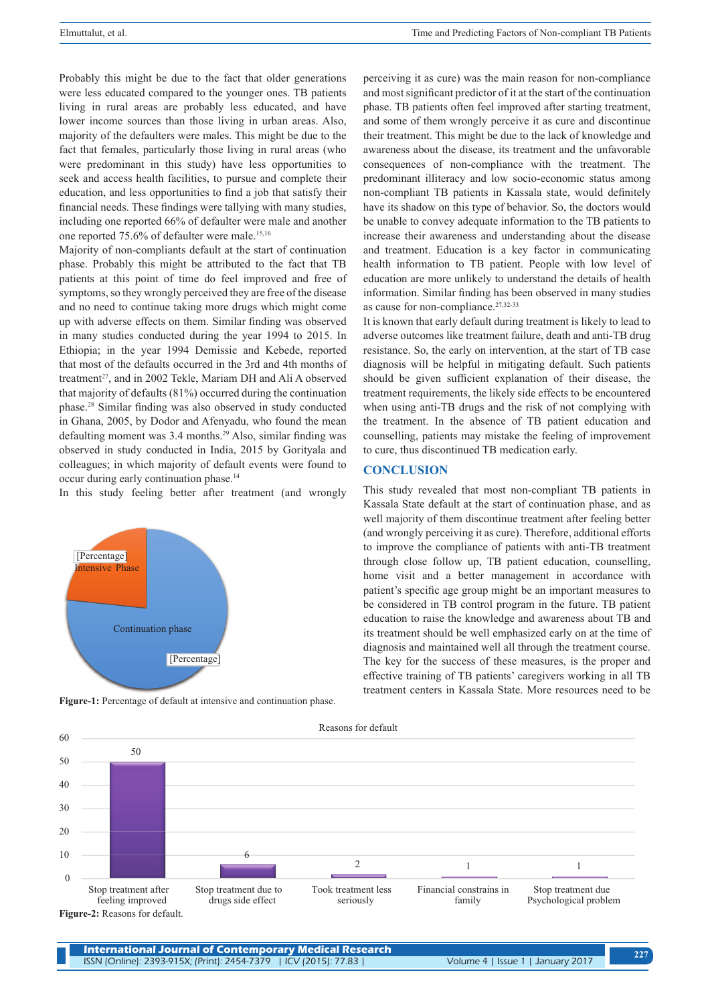Probably this might be due to the fact that older generations were less educated compared to the younger ones. TB patients living in rural areas are probably less educated, and have lower income sources than those living in urban areas. Also, majority of the defaulters were males. This might be due to the fact that females, particularly those living in rural areas (who were predominant in this study) have less opportunities to seek and access health facilities, to pursue and complete their education, and less opportunities to find a job that satisfy their financial needs. These findings were tallying with many studies, including one reported 66% of defaulter were male and another one reported 75.6% of defaulter were male.15,16

Majority of non-compliants default at the start of continuation phase. Probably this might be attributed to the fact that TB patients at this point of time do feel improved and free of symptoms, so they wrongly perceived they are free of the disease and no need to continue taking more drugs which might come up with adverse effects on them. Similar finding was observed in many studies conducted during the year 1994 to 2015. In Ethiopia; in the year 1994 Demissie and Kebede, reported that most of the defaults occurred in the 3rd and 4th months of treatment<sup>27</sup>, and in 2002 Tekle, Mariam DH and Ali A observed that majority of defaults (81%) occurred during the continuation phase.28 Similar finding was also observed in study conducted in Ghana, 2005, by Dodor and Afenyadu, who found the mean defaulting moment was 3.4 months.<sup>29</sup> Also, similar finding was observed in study conducted in India, 2015 by Gorityala and colleagues; in which majority of default events were found to occur during early continuation phase.<sup>14</sup>

In this study feeling better after treatment (and wrongly



**Figure-1:** Percentage of default at intensive and continuation phase.

perceiving it as cure) was the main reason for non-compliance and most significant predictor of it at the start of the continuation phase. TB patients often feel improved after starting treatment, and some of them wrongly perceive it as cure and discontinue their treatment. This might be due to the lack of knowledge and awareness about the disease, its treatment and the unfavorable consequences of non-compliance with the treatment. The predominant illiteracy and low socio-economic status among non-compliant TB patients in Kassala state, would definitely have its shadow on this type of behavior. So, the doctors would be unable to convey adequate information to the TB patients to increase their awareness and understanding about the disease and treatment. Education is a key factor in communicating health information to TB patient. People with low level of education are more unlikely to understand the details of health information. Similar finding has been observed in many studies as cause for non-compliance.<sup>27,32-33</sup>

It is known that early default during treatment is likely to lead to adverse outcomes like treatment failure, death and anti-TB drug resistance. So, the early on intervention, at the start of TB case diagnosis will be helpful in mitigating default. Such patients should be given sufficient explanation of their disease, the treatment requirements, the likely side effects to be encountered when using anti-TB drugs and the risk of not complying with the treatment. In the absence of TB patient education and counselling, patients may mistake the feeling of improvement to cure, thus discontinued TB medication early.

### **CONCLUSION**

This study revealed that most non-compliant TB patients in Kassala State default at the start of continuation phase, and as well majority of them discontinue treatment after feeling better (and wrongly perceiving it as cure). Therefore, additional efforts to improve the compliance of patients with anti-TB treatment through close follow up, TB patient education, counselling, home visit and a better management in accordance with patient's specific age group might be an important measures to be considered in TB control program in the future. TB patient education to raise the knowledge and awareness about TB and its treatment should be well emphasized early on at the time of diagnosis and maintained well all through the treatment course. The key for the success of these measures, is the proper and effective training of TB patients' caregivers working in all TB treatment centers in Kassala State. More resources need to be